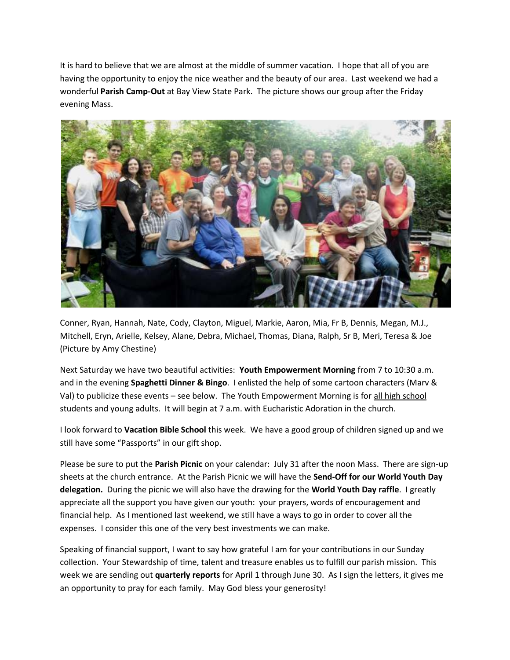It is hard to believe that we are almost at the middle of summer vacation. I hope that all of you are having the opportunity to enjoy the nice weather and the beauty of our area. Last weekend we had a wonderful **Parish Camp-Out** at Bay View State Park. The picture shows our group after the Friday evening Mass.



Conner, Ryan, Hannah, Nate, Cody, Clayton, Miguel, Markie, Aaron, Mia, Fr B, Dennis, Megan, M.J., Mitchell, Eryn, Arielle, Kelsey, Alane, Debra, Michael, Thomas, Diana, Ralph, Sr B, Meri, Teresa & Joe (Picture by Amy Chestine)

Next Saturday we have two beautiful activities: **Youth Empowerment Morning** from 7 to 10:30 a.m. and in the evening **Spaghetti Dinner & Bingo**. I enlisted the help of some cartoon characters (Marv & Val) to publicize these events – see below. The Youth Empowerment Morning is for all high school students and young adults. It will begin at 7 a.m. with Eucharistic Adoration in the church.

I look forward to **Vacation Bible School** this week. We have a good group of children signed up and we still have some "Passports" in our gift shop.

Please be sure to put the **Parish Picnic** on your calendar: July 31 after the noon Mass. There are sign-up sheets at the church entrance. At the Parish Picnic we will have the **Send-Off for our World Youth Day delegation.** During the picnic we will also have the drawing for the **World Youth Day raffle**. I greatly appreciate all the support you have given our youth: your prayers, words of encouragement and financial help. As I mentioned last weekend, we still have a ways to go in order to cover all the expenses. I consider this one of the very best investments we can make.

Speaking of financial support, I want to say how grateful I am for your contributions in our Sunday collection. Your Stewardship of time, talent and treasure enables us to fulfill our parish mission. This week we are sending out **quarterly reports** for April 1 through June 30. As I sign the letters, it gives me an opportunity to pray for each family. May God bless your generosity!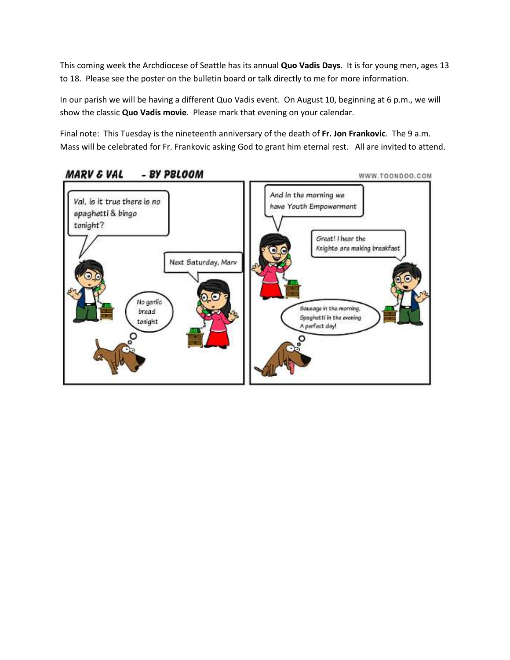This coming week the Archdiocese of Seattle has its annual **Quo Vadis Days**. It is for young men, ages 13 to 18. Please see the poster on the bulletin board or talk directly to me for more information.

In our parish we will be having a different Quo Vadis event. On August 10, beginning at 6 p.m., we will show the classic **Quo Vadis movie**. Please mark that evening on your calendar.

Final note: This Tuesday is the nineteenth anniversary of the death of **Fr. Jon Frankovic**. The 9 a.m. Mass will be celebrated for Fr. Frankovic asking God to grant him eternal rest. All are invited to attend.



## **MARV & VAL** - BY PBLOOM